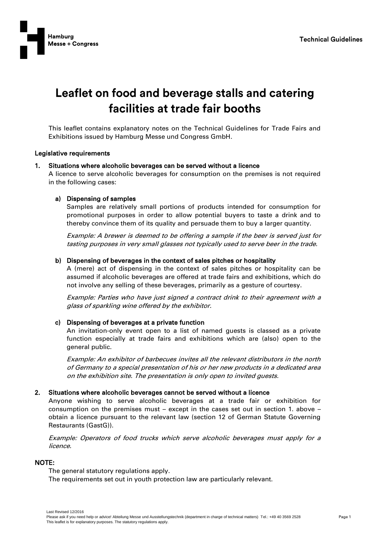

# Leaflet on food and beverage stalls and catering facilities at trade fair booths

This leaflet contains explanatory notes on the Technical Guidelines for Trade Fairs and Exhibitions issued by Hamburg Messe und Congress GmbH.

## Legislative requirements

## Situations where alcoholic beverages can be served without a licence

A licence to serve alcoholic beverages for consumption on the premises is not required in the following cases:

## a) Dispensing of samples

Samples are relatively small portions of products intended for consumption for promotional purposes in order to allow potential buyers to taste a drink and to thereby convince them of its quality and persuade them to buy a larger quantity.

Example: A brewer is deemed to be offering a sample if the beer is served just for tasting purposes in very small glasses not typically used to serve beer in the trade.

## b) Dispensing of beverages in the context of sales pitches or hospitality

A (mere) act of dispensing in the context of sales pitches or hospitality can be assumed if alcoholic beverages are offered at trade fairs and exhibitions, which do not involve any selling of these beverages, primarily as a gesture of courtesy.

Example: Parties who have just signed a contract drink to their agreement with a glass of sparkling wine offered by the exhibitor.

## c) Dispensing of beverages at a private function

An invitation-only event open to a list of named guests is classed as a private function especially at trade fairs and exhibitions which are (also) open to the general public.

Example: An exhibitor of barbecues invites all the relevant distributors in the north of Germany to a special presentation of his or her new products in a dedicated area on the exhibition site. The presentation is only open to invited guests.

## 2. Situations where alcoholic beverages cannot be served without a licence

Anyone wishing to serve alcoholic beverages at a trade fair or exhibition for consumption on the premises must – except in the cases set out in section 1. above – obtain a licence pursuant to the relevant law (section 12 of German Statute Governing Restaurants (GastG)).

Example: Operators of food trucks which serve alcoholic beverages must apply for a licence.

# NOTE:

The general statutory regulations apply.

The requirements set out in youth protection law are particularly relevant.

Last Revised 12/2016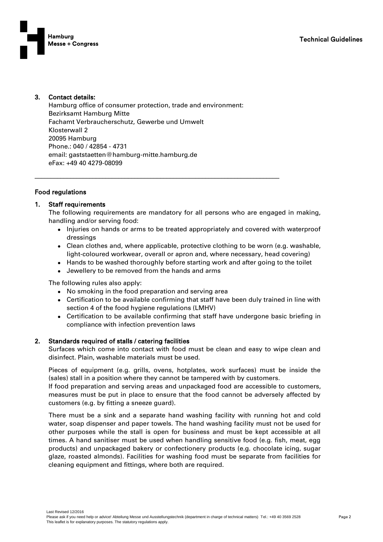

# 3. Contact details:

Hamburg office of consumer protection, trade and environment: Bezirksamt Hamburg Mitte Fachamt Verbraucherschutz, Gewerbe und Umwelt Klosterwall 2 20095 Hamburg Phone.: 040 / 42854 - 4731 email: gaststaetten@hamburg-mitte.hamburg.de eFax: +49 40 4279-08099

\_\_\_\_\_\_\_\_\_\_\_\_\_\_\_\_\_\_\_\_\_\_\_\_\_\_\_\_\_\_\_\_\_\_\_\_\_\_\_\_\_\_\_\_\_\_\_\_\_\_\_\_\_\_\_\_\_\_\_\_\_\_\_\_\_\_\_\_\_\_\_\_\_\_\_\_

# Food regulations

# 1. Staff requirements

The following requirements are mandatory for all persons who are engaged in making, handling and/or serving food:

- Injuries on hands or arms to be treated appropriately and covered with waterproof dressings
- Clean clothes and, where applicable, protective clothing to be worn (e.g. washable, light-coloured workwear, overall or apron and, where necessary, head covering)
- Hands to be washed thoroughly before starting work and after going to the toilet
- Jewellery to be removed from the hands and arms

The following rules also apply:

- No smoking in the food preparation and serving area
- Certification to be available confirming that staff have been duly trained in line with section 4 of the food hygiene regulations (LMHV)
- Certification to be available confirming that staff have undergone basic briefing in compliance with infection prevention laws

# 2. Standards required of stalls / catering facilities

Surfaces which come into contact with food must be clean and easy to wipe clean and disinfect. Plain, washable materials must be used.

Pieces of equipment (e.g. grills, ovens, hotplates, work surfaces) must be inside the (sales) stall in a position where they cannot be tampered with by customers.

If food preparation and serving areas and unpackaged food are accessible to customers, measures must be put in place to ensure that the food cannot be adversely affected by customers (e.g. by fitting a sneeze guard).

There must be a sink and a separate hand washing facility with running hot and cold water, soap dispenser and paper towels. The hand washing facility must not be used for other purposes while the stall is open for business and must be kept accessible at all times. A hand sanitiser must be used when handling sensitive food (e.g. fish, meat, egg products) and unpackaged bakery or confectionery products (e.g. chocolate icing, sugar glaze, roasted almonds). Facilities for washing food must be separate from facilities for cleaning equipment and fittings, where both are required.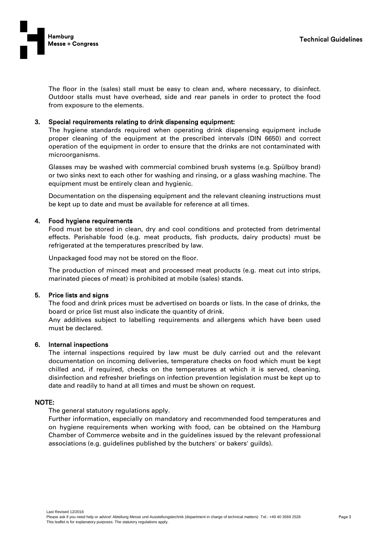

The floor in the (sales) stall must be easy to clean and, where necessary, to disinfect. Outdoor stalls must have overhead, side and rear panels in order to protect the food from exposure to the elements.

## 3. Special requirements relating to drink dispensing equipment:

The hygiene standards required when operating drink dispensing equipment include proper cleaning of the equipment at the prescribed intervals (DIN 6650) and correct operation of the equipment in order to ensure that the drinks are not contaminated with microorganisms.

Glasses may be washed with commercial combined brush systems (e.g. Spülboy brand) or two sinks next to each other for washing and rinsing, or a glass washing machine. The equipment must be entirely clean and hygienic.

Documentation on the dispensing equipment and the relevant cleaning instructions must be kept up to date and must be available for reference at all times.

## 4. Food hygiene requirements

Food must be stored in clean, dry and cool conditions and protected from detrimental effects. Perishable food (e.g. meat products, fish products, dairy products) must be refrigerated at the temperatures prescribed by law.

Unpackaged food may not be stored on the floor.

The production of minced meat and processed meat products (e.g. meat cut into strips, marinated pieces of meat) is prohibited at mobile (sales) stands.

## 5. Price lists and signs

The food and drink prices must be advertised on boards or lists. In the case of drinks, the board or price list must also indicate the quantity of drink.

Any additives subject to labelling requirements and allergens which have been used must be declared.

## 6. Internal inspections

The internal inspections required by law must be duly carried out and the relevant documentation on incoming deliveries, temperature checks on food which must be kept chilled and, if required, checks on the temperatures at which it is served, cleaning, disinfection and refresher briefings on infection prevention legislation must be kept up to date and readily to hand at all times and must be shown on request.

# NOTE:

The general statutory regulations apply.

Further information, especially on mandatory and recommended food temperatures and on hygiene requirements when working with food, can be obtained on the Hamburg Chamber of Commerce website and in the guidelines issued by the relevant professional associations (e.g. guidelines published by the butchers' or bakers' guilds).